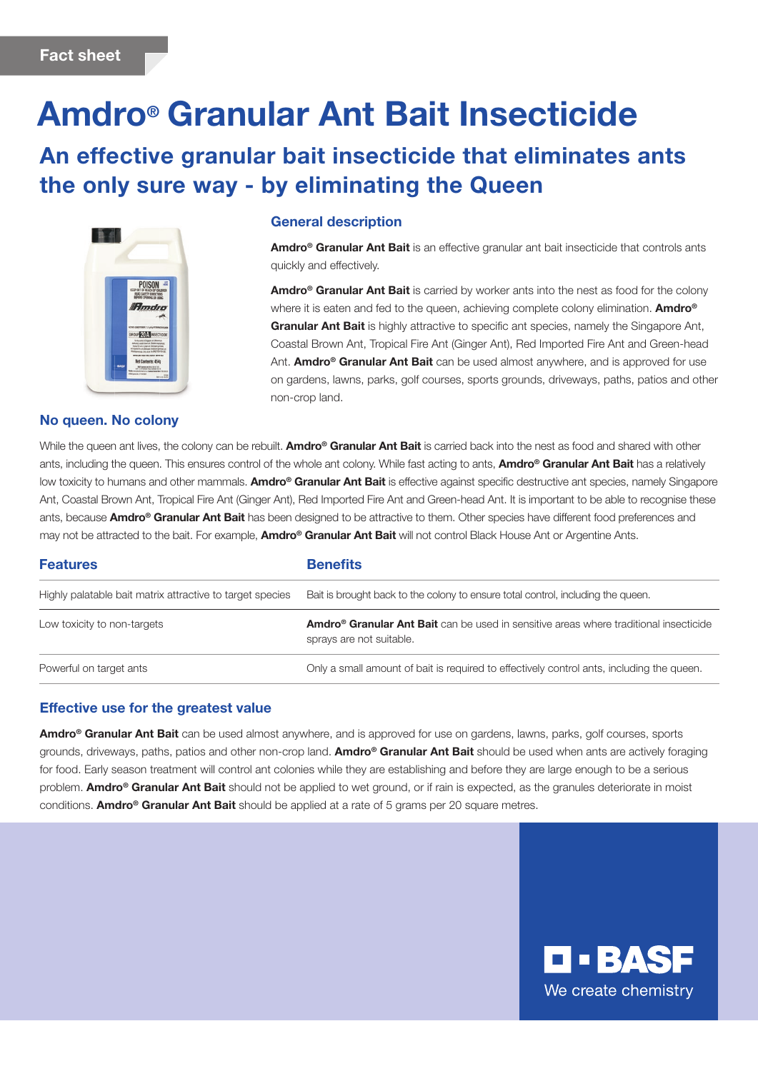# Amdro® Granular Ant Bait Insecticide

## An effective granular bait insecticide that eliminates ants the only sure way - by eliminating the Queen



#### No queen. No colony

#### General description

Amdro<sup>®</sup> Granular Ant Bait is an effective granular ant bait insecticide that controls ants quickly and effectively.

Amdro<sup>®</sup> Granular Ant Bait is carried by worker ants into the nest as food for the colony where it is eaten and fed to the queen, achieving complete colony elimination. Amdro<sup>®</sup> Granular Ant Bait is highly attractive to specific ant species, namely the Singapore Ant, Coastal Brown Ant, Tropical Fire Ant (Ginger Ant), Red Imported Fire Ant and Green-head Ant. Amdro<sup>®</sup> Granular Ant Bait can be used almost anywhere, and is approved for use on gardens, lawns, parks, golf courses, sports grounds, driveways, paths, patios and other non-crop land.

While the queen ant lives, the colony can be rebuilt. Amdro<sup>®</sup> Granular Ant Bait is carried back into the nest as food and shared with other ants, including the queen. This ensures control of the whole ant colony. While fast acting to ants, **Amdro<sup>®</sup> Granular Ant Bait** has a relatively low toxicity to humans and other mammals. Amdro<sup>®</sup> Granular Ant Bait is effective against specific destructive ant species, namely Singapore Ant, Coastal Brown Ant, Tropical Fire Ant (Ginger Ant), Red Imported Fire Ant and Green-head Ant. It is important to be able to recognise these ants, because **Amdro<sup>®</sup> Granular Ant Bait** has been designed to be attractive to them. Other species have different food preferences and may not be attracted to the bait. For example, Amdro<sup>®</sup> Granular Ant Bait will not control Black House Ant or Argentine Ants.

### **Features Community Exercise Serversity** Highly palatable bait matrix attractive to target species Bait is brought back to the colony to ensure total control, including the queen. Low toxicity to non-targets **Amdro® Granular Ant Bait** can be used in sensitive areas where traditional insecticide sprays are not suitable. Powerful on target ants **Only a small amount of bait is required to effectively control ants, including the queen.**

### Effective use for the greatest value

Amdro<sup>®</sup> Granular Ant Bait can be used almost anywhere, and is approved for use on gardens, lawns, parks, golf courses, sports grounds, driveways, paths, patios and other non-crop land. Amdro<sup>®</sup> Granular Ant Bait should be used when ants are actively foraging for food. Early season treatment will control ant colonies while they are establishing and before they are large enough to be a serious problem. Amdro<sup>®</sup> Granular Ant Bait should not be applied to wet ground, or if rain is expected, as the granules deteriorate in moist conditions. **Amdro<sup>®</sup> Granular Ant Bait** should be applied at a rate of 5 grams per 20 square metres.